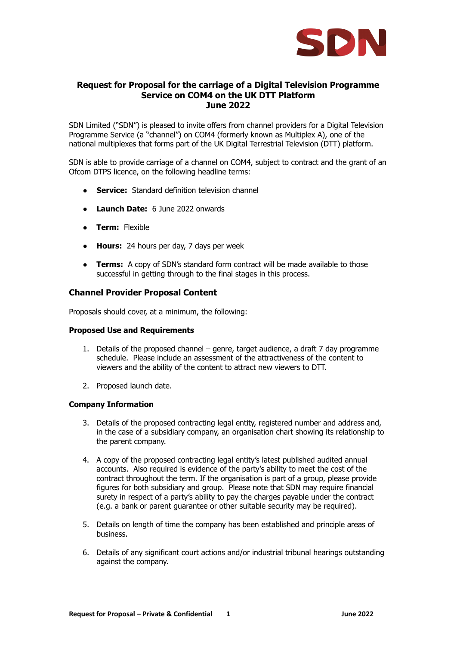

# **Request for Proposal for the carriage of a Digital Television Programme Service on COM4 on the UK DTT Platform June 2022**

SDN Limited ("SDN") is pleased to invite offers from channel providers for a Digital Television Programme Service (a "channel") on COM4 (formerly known as Multiplex A), one of the national multiplexes that forms part of the UK Digital Terrestrial Television (DTT) platform.

SDN is able to provide carriage of a channel on COM4, subject to contract and the grant of an Ofcom DTPS licence, on the following headline terms:

- **Service:** Standard definition television channel
- **Launch Date:** 6 June 2022 onwards
- **Term:** Flexible
- **Hours:** 24 hours per day, 7 days per week
- **Terms:** A copy of SDN's standard form contract will be made available to those successful in getting through to the final stages in this process.

#### **Channel Provider Proposal Content**

Proposals should cover, at a minimum, the following:

#### **Proposed Use and Requirements**

- 1. Details of the proposed channel genre, target audience, a draft 7 day programme schedule. Please include an assessment of the attractiveness of the content to viewers and the ability of the content to attract new viewers to DTT.
- 2. Proposed launch date.

#### **Company Information**

- 3. Details of the proposed contracting legal entity, registered number and address and, in the case of a subsidiary company, an organisation chart showing its relationship to the parent company.
- 4. A copy of the proposed contracting legal entity's latest published audited annual accounts. Also required is evidence of the party's ability to meet the cost of the contract throughout the term. If the organisation is part of a group, please provide figures for both subsidiary and group. Please note that SDN may require financial surety in respect of a party's ability to pay the charges payable under the contract (e.g. a bank or parent guarantee or other suitable security may be required).
- 5. Details on length of time the company has been established and principle areas of business.
- 6. Details of any significant court actions and/or industrial tribunal hearings outstanding against the company.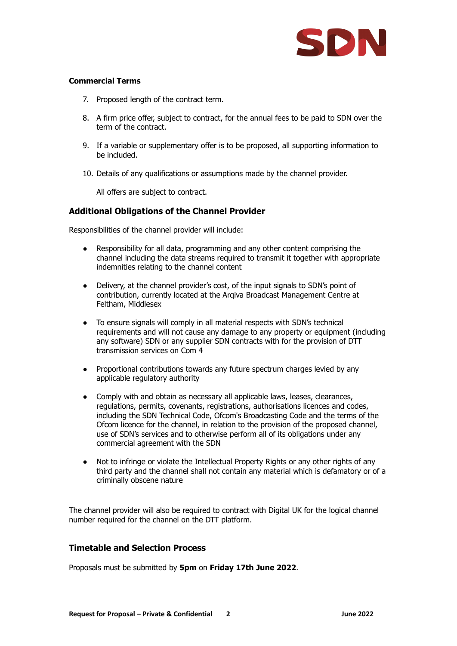

### **Commercial Terms**

- 7. Proposed length of the contract term.
- 8. A firm price offer, subject to contract, for the annual fees to be paid to SDN over the term of the contract.
- 9. If a variable or supplementary offer is to be proposed, all supporting information to be included.
- 10. Details of any qualifications or assumptions made by the channel provider.

All offers are subject to contract.

# **Additional Obligations of the Channel Provider**

Responsibilities of the channel provider will include:

- Responsibility for all data, programming and any other content comprising the channel including the data streams required to transmit it together with appropriate indemnities relating to the channel content
- Delivery, at the channel provider's cost, of the input signals to SDN's point of contribution, currently located at the Arqiva Broadcast Management Centre at Feltham, Middlesex
- To ensure signals will comply in all material respects with SDN's technical requirements and will not cause any damage to any property or equipment (including any software) SDN or any supplier SDN contracts with for the provision of DTT transmission services on Com 4
- Proportional contributions towards any future spectrum charges levied by any applicable regulatory authority
- Comply with and obtain as necessary all applicable laws, leases, clearances, regulations, permits, covenants, registrations, authorisations licences and codes, including the SDN Technical Code, Ofcom's Broadcasting Code and the terms of the Ofcom licence for the channel, in relation to the provision of the proposed channel, use of SDN's services and to otherwise perform all of its obligations under any commercial agreement with the SDN
- Not to infringe or violate the Intellectual Property Rights or any other rights of any third party and the channel shall not contain any material which is defamatory or of a criminally obscene nature

The channel provider will also be required to contract with Digital UK for the logical channel number required for the channel on the DTT platform.

### **Timetable and Selection Process**

Proposals must be submitted by **5pm** on **Friday 17th June 2022**.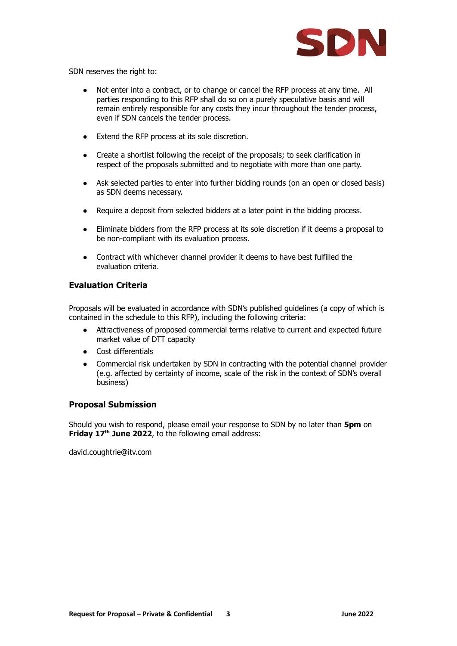

SDN reserves the right to:

- Not enter into a contract, or to change or cancel the RFP process at any time. All parties responding to this RFP shall do so on a purely speculative basis and will remain entirely responsible for any costs they incur throughout the tender process, even if SDN cancels the tender process.
- Extend the RFP process at its sole discretion.
- Create a shortlist following the receipt of the proposals; to seek clarification in respect of the proposals submitted and to negotiate with more than one party.
- Ask selected parties to enter into further bidding rounds (on an open or closed basis) as SDN deems necessary.
- Require a deposit from selected bidders at a later point in the bidding process.
- Eliminate bidders from the RFP process at its sole discretion if it deems a proposal to be non-compliant with its evaluation process.
- Contract with whichever channel provider it deems to have best fulfilled the evaluation criteria.

# **Evaluation Criteria**

Proposals will be evaluated in accordance with SDN's published guidelines (a copy of which is contained in the schedule to this RFP), including the following criteria:

- Attractiveness of proposed commercial terms relative to current and expected future market value of DTT capacity
- Cost differentials
- Commercial risk undertaken by SDN in contracting with the potential channel provider (e.g. affected by certainty of income, scale of the risk in the context of SDN's overall business)

# **Proposal Submission**

Should you wish to respond, please email your response to SDN by no later than **5pm** on **Friday 17 th June 2022**, to the following email address:

david.coughtrie@itv.com